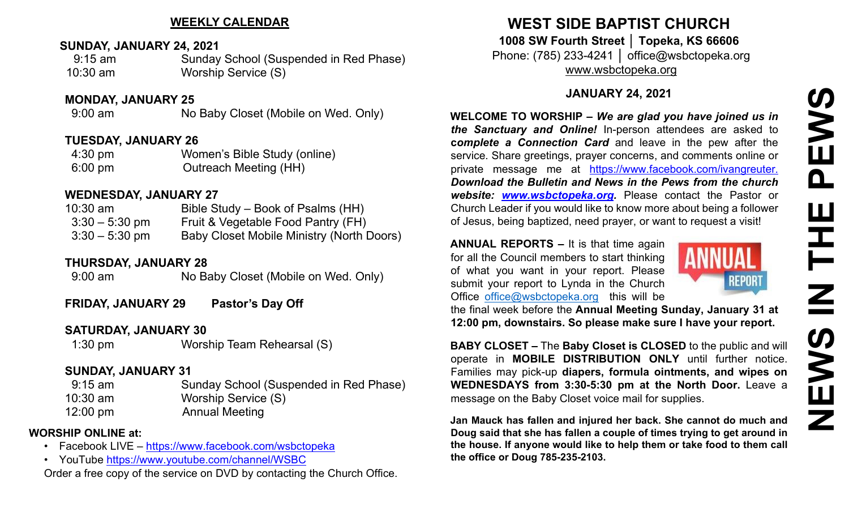### **WEEKLY CALENDAR**

#### **SUNDAY, JANUARY 24, 2021**

9:15 am Sunday School (Suspended in Red Phase) 10:30 am Worship Service (S)

#### **MONDAY, JANUARY 25**

9:00 am No Baby Closet (Mobile on Wed. Only)

#### **TUESDAY, JANUARY 26**

4:30 pm Women's Bible Study (online) 6:00 pm Outreach Meeting (HH)

### **WEDNESDAY, JANUARY 27**

| $10:30$ am       | Bible Study – Book of Psalms (HH)                |
|------------------|--------------------------------------------------|
| $3:30 - 5:30$ pm | Fruit & Vegetable Food Pantry (FH)               |
| $3:30 - 5:30$ pm | <b>Baby Closet Mobile Ministry (North Doors)</b> |

# **THURSDAY, JANUARY 28**

9:00 am No Baby Closet (Mobile on Wed. Only)

**FRIDAY, JANUARY 29 Pastor's Day Off**

# **SATURDAY, JANUARY 30**

1:30 pm Worship Team Rehearsal (S)

# **SUNDAY, JANUARY 31**

9:15 am Sunday School (Suspended in Red Phase) 10:30 am Worship Service (S) 12:00 pm Annual Meeting

# **WORSHIP ONLINE at:**

- Facebook LIVE <https://www.facebook.com/wsbctopeka>
- YouTube <https://www.youtube.com/channel/WSBC>

Order a free copy of the service on DVD by contacting the Church Office.

# **WEST SIDE BAPTIST CHURCH**

**1008 SW Fourth Street │ Topeka, KS 66606** Phone: (785) 233-4241 │ office@wsbctopeka.org [www.wsbctopeka.org](http://www.wsbctopeka.org/)

# **JANUARY 24, 2021**

**WELCOME TO WORSHIP –** *We are glad you have joined us in the Sanctuary and Online!* In-person attendees are asked to **c***omplete a Connection Card* and leave in the pew after the service. Share greetings, prayer concerns, and comments online or private message me at <https://www.facebook.com/ivangreuter.> *Download the Bulletin and News in the Pews from the church website: [www.wsbctopeka.org.](http://www.wsbctopeka.org/)* Please contact the Pastor or Church Leader if you would like to know more about being a follower of Jesus, being baptized, need prayer, or want to request a visit!

**ANNUAL REPORTS –** It is that time again for all the Council members to start thinking of what you want in your report. Please submit your report to Lynda in the Church Office [office@wsbctopeka.org](mailto:office@wsbctopeka.org) this will be



the final week before the **Annual Meeting Sunday, January 31 at 12:00 pm, downstairs. So please make sure I have your report.**

**BABY CLOSET –** The **Baby Closet is CLOSED** to the public and will operate in **MOBILE DISTRIBUTION ONLY** until further notice. Families may pick-up **diapers, formula ointments, and wipes on WEDNESDAYS from 3:30-5:30 pm at the North Door.** Leave a message on the Baby Closet voice mail for supplies.

**Jan Mauck has fallen and injured her back. She cannot do much and Doug said that she has fallen a couple of times trying to get around in the house. If anyone would like to help them or take food to them call the office or Doug 785-235-2103.**

**NEWS IN THE PEWSNE**  $\mathbf{\Omega}$ ᅚ  $\overline{\mathbf{z}}$ NEWS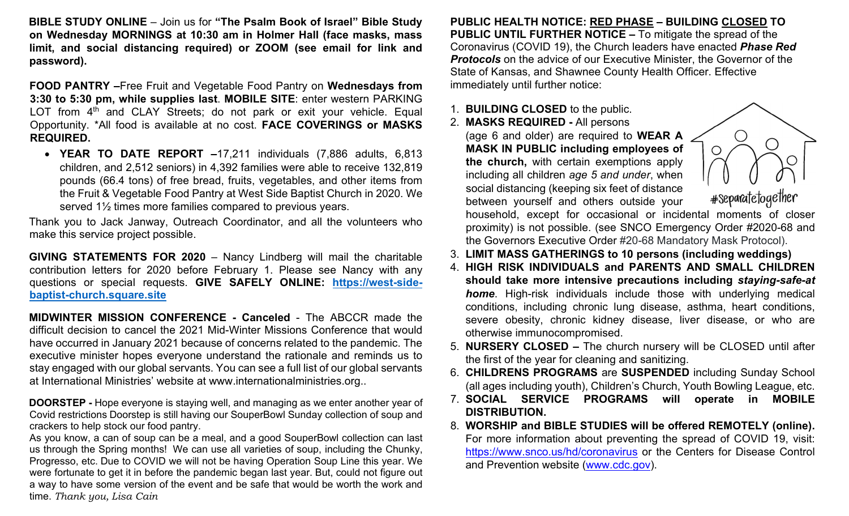**BIBLE STUDY ONLINE** – Join us for **"The Psalm Book of Israel" Bible Study on Wednesday MORNINGS at 10:30 am in Holmer Hall (face masks, mass limit, and social distancing required) or ZOOM (see email for link and password).** 

**FOOD PANTRY –**Free Fruit and Vegetable Food Pantry on **Wednesdays from 3:30 to 5:30 pm, while supplies last**. **MOBILE SITE**: enter western PARKING LOT from  $4<sup>th</sup>$  and CLAY Streets; do not park or exit your vehicle. Equal Opportunity. \*All food is available at no cost. **FACE COVERINGS or MASKS REQUIRED.**

• **YEAR TO DATE REPORT –**17,211 individuals (7,886 adults, 6,813 children, and 2,512 seniors) in 4,392 families were able to receive 132,819 pounds (66.4 tons) of free bread, fruits, vegetables, and other items from the Fruit & Vegetable Food Pantry at West Side Baptist Church in 2020. We served 1½ times more families compared to previous years.

Thank you to Jack Janway, Outreach Coordinator, and all the volunteers who make this service project possible.

**GIVING STATEMENTS FOR 2020** – Nancy Lindberg will mail the charitable contribution letters for 2020 before February 1. Please see Nancy with any questions or special requests. **GIVE SAFELY ONLINE: [https://west](https://west-side-baptist-church.square.site/)[-side](https://west-side-baptist-church.square.site/)[baptist](https://west-side-baptist-church.square.site/)[-](https://west-side-baptist-church.square.site/)[church.square.site](https://west-side-baptist-church.square.site/)**

**MIDWINTER MISSION CONFERENCE - Canceled** - The ABCCR made the difficult decision to cancel the 2021 Mid-Winter Missions Conference that would have occurred in January 2021 because of concerns related to the pandemic. The executive minister hopes everyone understand the rationale and reminds us to stay engaged with our global servants. You can see a full list of our global servants at International Ministries' website at www.internationalministries.org..

**DOORSTEP -** Hope everyone is staying well, and managing as we enter another year of Covid restrictions Doorstep is still having our SouperBowl Sunday collection of soup and crackers to help stock our food pantry.

As you know, a can of soup can be a meal, and a good SouperBowl collection can last us through the Spring months! We can use all varieties of soup, including the Chunky, Progresso, etc. Due to COVID we will not be having Operation Soup Line this year. We were fortunate to get it in before the pandemic began last year. But, could not figure out a way to have some version of the event and be safe that would be worth the work and time. *Thank you, Lisa Cain*

**PUBLIC HEALTH NOTICE: RED PHASE – BUILDING CLOSED TO PUBLIC UNTIL FURTHER NOTICE –** To mitigate the spread of the Coronavirus (COVID 19), the Church leaders have enacted *Phase Red Protocols* on the advice of our Executive Minister, the Governor of the State of Kansas, and Shawnee County Health Officer. Effective immediately until further notice:

#### 1. **BUILDING CLOSED** to the public.

2. **MASKS REQUIRED -** All persons

(age 6 and older) are required to **WEAR A MASK IN PUBLIC including employees of the church,** with certain exemptions apply including all children *age 5 and under*, when social distancing (keeping six feet of distance between yourself and others outside your

#separatetogether

household, except for occasional or incidental moments of closer proximity) is not possible. (see SNCO Emergency Order #2020-68 and the Governors Executive Order #20-68 Mandatory Mask Protocol).

- 3. **LIMIT MASS GATHERINGS to 10 persons (including weddings)**
- 4. **HIGH RISK INDIVIDUALS and PARENTS AND SMALL CHILDREN should take more intensive precautions including** *staying-safe-at home*. High-risk individuals include those with underlying medical conditions, including chronic lung disease, asthma, heart conditions, severe obesity, chronic kidney disease, liver disease, or who are otherwise immunocompromised.
- 5. **NURSERY CLOSED –** The church nursery will be CLOSED until after the first of the year for cleaning and sanitizing.
- 6. **CHILDRENS PROGRAMS** are **SUSPENDED** including Sunday School (all ages including youth), Children's Church, Youth Bowling League, etc.
- 7. **SOCIAL SERVICE PROGRAMS will operate in MOBILE DISTRIBUTION.**
- 8. **WORSHIP and BIBLE STUDIES will be offered REMOTELY (online).**  For more information about preventing the spread of COVID 19, visit: <https://www.snco.us/hd/coronavirus> [o](https://www.snco.us/hd/coronavirus)r the Centers for Disease Control and Prevention website [\(www.cdc.gov\).](http://www.cdc.gov/)